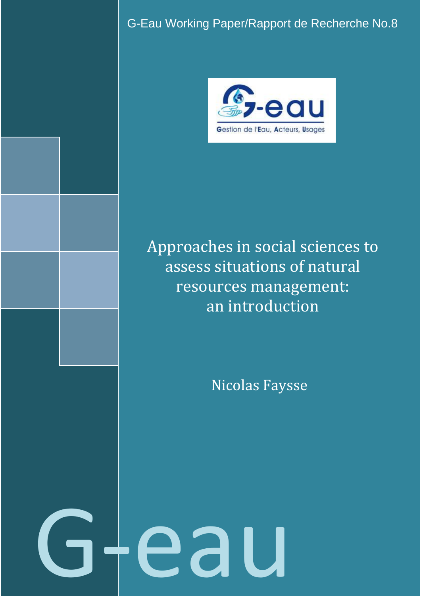G-Eau Working Paper/Rapport de Recherche No.8



# Approaches in social sciences to assess situations of natural resources management: an introduction

Nicolas Faysse

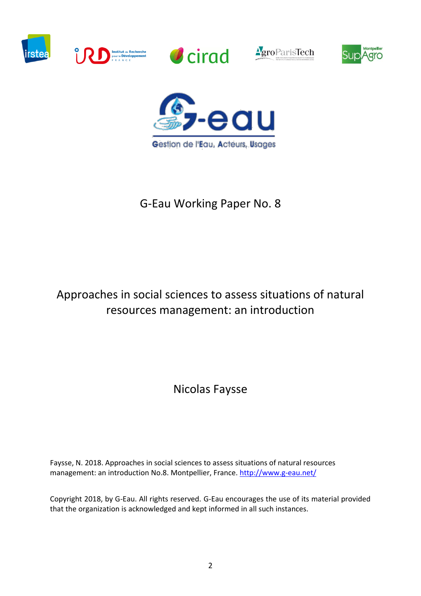











# G-Eau Working Paper No. 8

# Approaches in social sciences to assess situations of natural resources management: an introduction

Nicolas Faysse

Faysse, N. 2018. Approaches in social sciences to assess situations of natural resources management: an introduction No.8. Montpellier, France. <http://www.g-eau.net/>

Copyright 2018, by G-Eau. All rights reserved. G-Eau encourages the use of its material provided that the organization is acknowledged and kept informed in all such instances.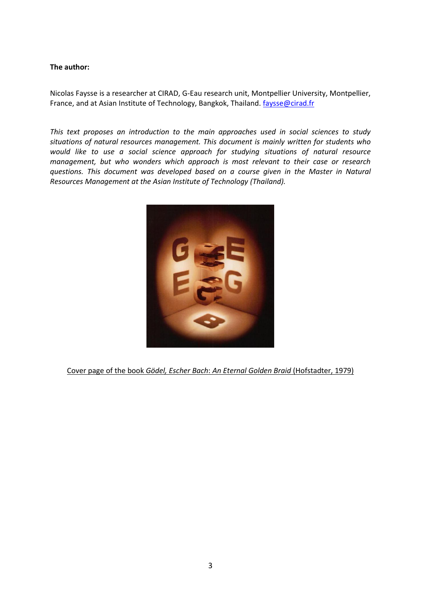#### **The author:**

Nicolas Faysse is a researcher at CIRAD, G-Eau research unit, Montpellier University, Montpellier, France, and at Asian Institute of Technology, Bangkok, Thailand. *faysse@cirad.fr* 

*This text proposes an introduction to the main approaches used in social sciences to study situations of natural resources management. This document is mainly written for students who would like to use a social science approach for studying situations of natural resource management, but who wonders which approach is most relevant to their case or research questions. This document was developed based on a course given in the Master in Natural Resources Management at the Asian Institute of Technology (Thailand).*



Cover page of the book *Gödel, Escher Bach*: *An Eternal Golden Braid* (Hofstadter, 1979)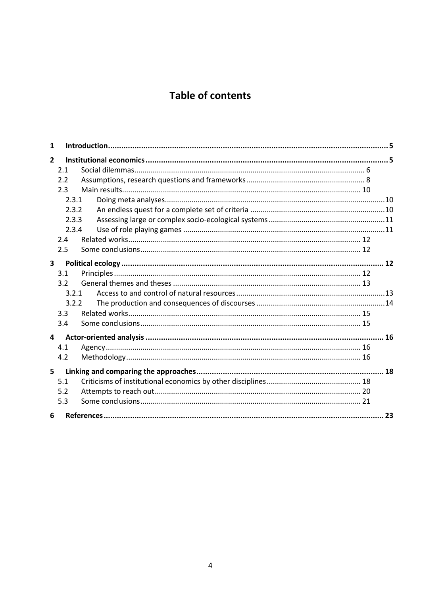# **Table of contents**

| $\overline{2}$          |  |
|-------------------------|--|
| 2.1                     |  |
| 2.2                     |  |
| 2.3                     |  |
| 2.3.1                   |  |
| 2.3.2                   |  |
| 2.3.3                   |  |
| 2.3.4                   |  |
| 2.4                     |  |
| 2.5                     |  |
| $\overline{\mathbf{3}}$ |  |
| 3.1                     |  |
| 3.2                     |  |
| 3.2.1                   |  |
| 3.2.2                   |  |
| 3.3                     |  |
| 3.4                     |  |
| 4                       |  |
| 4.1                     |  |
| 4.2                     |  |
| 5                       |  |
| 5.1                     |  |
| 5.2                     |  |
| 5.3                     |  |
| 6                       |  |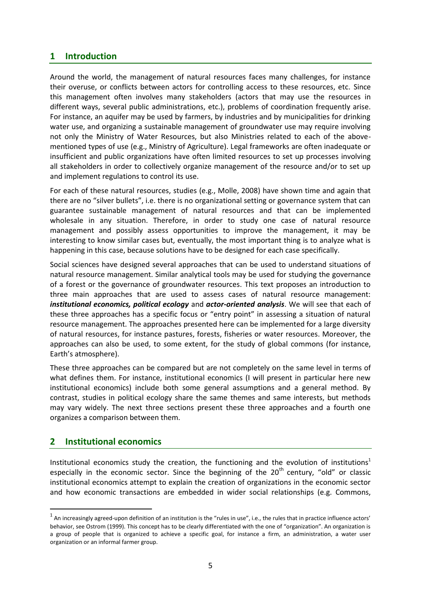# <span id="page-4-0"></span>**1 Introduction**

Around the world, the management of natural resources faces many challenges, for instance their overuse, or conflicts between actors for controlling access to these resources, etc. Since this management often involves many stakeholders (actors that may use the resources in different ways, several public administrations, etc.), problems of coordination frequently arise. For instance, an aquifer may be used by farmers, by industries and by municipalities for drinking water use, and organizing a sustainable management of groundwater use may require involving not only the Ministry of Water Resources, but also Ministries related to each of the abovementioned types of use (e.g., Ministry of Agriculture). Legal frameworks are often inadequate or insufficient and public organizations have often limited resources to set up processes involving all stakeholders in order to collectively organize management of the resource and/or to set up and implement regulations to control its use.

For each of these natural resources, studies (e.g., Molle, 2008) have shown time and again that there are no "silver bullets", i.e. there is no organizational setting or governance system that can guarantee sustainable management of natural resources and that can be implemented wholesale in any situation. Therefore, in order to study one case of natural resource management and possibly assess opportunities to improve the management, it may be interesting to know similar cases but, eventually, the most important thing is to analyze what is happening in this case, because solutions have to be designed for each case specifically.

Social sciences have designed several approaches that can be used to understand situations of natural resource management. Similar analytical tools may be used for studying the governance of a forest or the governance of groundwater resources. This text proposes an introduction to three main approaches that are used to assess cases of natural resource management: *institutional economics, political ecology* and *actor-oriented analysis*. We will see that each of these three approaches has a specific focus or "entry point" in assessing a situation of natural resource management. The approaches presented here can be implemented for a large diversity of natural resources, for instance pastures, forests, fisheries or water resources. Moreover, the approaches can also be used, to some extent, for the study of global commons (for instance, Earth's atmosphere).

These three approaches can be compared but are not completely on the same level in terms of what defines them. For instance, institutional economics (I will present in particular here new institutional economics) include both some general assumptions and a general method. By contrast, studies in political ecology share the same themes and same interests, but methods may vary widely. The next three sections present these three approaches and a fourth one organizes a comparison between them.

# <span id="page-4-1"></span>**2 Institutional economics**

<u>.</u>

Institutional economics study the creation, the functioning and the evolution of institutions<sup>1</sup> especially in the economic sector. Since the beginning of the  $20<sup>th</sup>$  century, "old" or classic institutional economics attempt to explain the creation of organizations in the economic sector and how economic transactions are embedded in wider social relationships (e.g. Commons,

 $^1$  An increasingly agreed-upon definition of an institution is the "rules in use", i.e., the rules that in practice influence actors' behavior, see Ostrom (1999). This concept has to be clearly differentiated with the one of "organization". An organization is a group of people that is organized to achieve a specific goal, for instance a firm, an administration, a water user organization or an informal farmer group.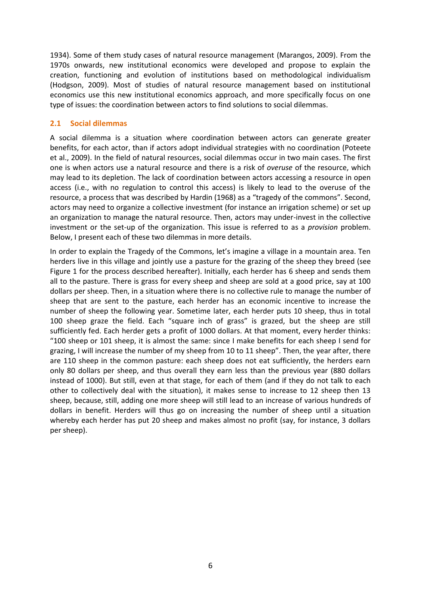1934). Some of them study cases of natural resource management (Marangos, 2009). From the 1970s onwards, new institutional economics were developed and propose to explain the creation, functioning and evolution of institutions based on methodological individualism (Hodgson, 2009). Most of studies of natural resource management based on institutional economics use this new institutional economics approach, and more specifically focus on one type of issues: the coordination between actors to find solutions to social dilemmas.

#### <span id="page-5-0"></span>**2.1 Social dilemmas**

A social dilemma is a situation where coordination between actors can generate greater benefits, for each actor, than if actors adopt individual strategies with no coordination (Poteete et al., 2009). In the field of natural resources, social dilemmas occur in two main cases. The first one is when actors use a natural resource and there is a risk of *overuse* of the resource, which may lead to its depletion. The lack of coordination between actors accessing a resource in open access (i.e., with no regulation to control this access) is likely to lead to the overuse of the resource, a process that was described by Hardin (1968) as a "tragedy of the commons". Second, actors may need to organize a collective investment (for instance an irrigation scheme) or set up an organization to manage the natural resource. Then, actors may under-invest in the collective investment or the set-up of the organization. This issue is referred to as a *provision* problem. Below, I present each of these two dilemmas in more details.

In order to explain the Tragedy of the Commons, let's imagine a village in a mountain area. Ten herders live in this village and jointly use a pasture for the grazing of the sheep they breed (see Figure 1 for the process described hereafter). Initially, each herder has 6 sheep and sends them all to the pasture. There is grass for every sheep and sheep are sold at a good price, say at 100 dollars per sheep. Then, in a situation where there is no collective rule to manage the number of sheep that are sent to the pasture, each herder has an economic incentive to increase the number of sheep the following year. Sometime later, each herder puts 10 sheep, thus in total 100 sheep graze the field. Each "square inch of grass" is grazed, but the sheep are still sufficiently fed. Each herder gets a profit of 1000 dollars. At that moment, every herder thinks: "100 sheep or 101 sheep, it is almost the same: since I make benefits for each sheep I send for grazing, I will increase the number of my sheep from 10 to 11 sheep". Then, the year after, there are 110 sheep in the common pasture: each sheep does not eat sufficiently, the herders earn only 80 dollars per sheep, and thus overall they earn less than the previous year (880 dollars instead of 1000). But still, even at that stage, for each of them (and if they do not talk to each other to collectively deal with the situation), it makes sense to increase to 12 sheep then 13 sheep, because, still, adding one more sheep will still lead to an increase of various hundreds of dollars in benefit. Herders will thus go on increasing the number of sheep until a situation whereby each herder has put 20 sheep and makes almost no profit (say, for instance, 3 dollars per sheep).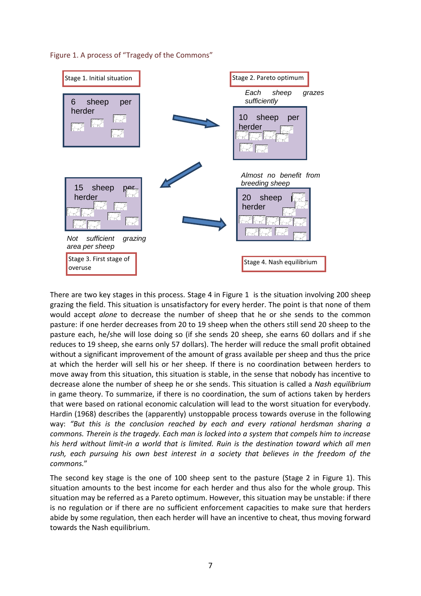



There are two key stages in this process. Stage 4 in Figure 1 is the situation involving 200 sheep grazing the field. This situation is unsatisfactory for every herder. The point is that none of them would accept *alone* to decrease the number of sheep that he or she sends to the common pasture: if one herder decreases from 20 to 19 sheep when the others still send 20 sheep to the pasture each, he/she will lose doing so (if she sends 20 sheep, she earns 60 dollars and if she reduces to 19 sheep, she earns only 57 dollars). The herder will reduce the small profit obtained without a significant improvement of the amount of grass available per sheep and thus the price at which the herder will sell his or her sheep. If there is no coordination between herders to move away from this situation, this situation is stable, in the sense that nobody has incentive to decrease alone the number of sheep he or she sends. This situation is called a *Nash equilibrium* in game theory. To summarize, if there is no coordination, the sum of actions taken by herders that were based on rational economic calculation will lead to the worst situation for everybody. Hardin (1968) describes the (apparently) unstoppable process towards overuse in the following way: *"But this is the conclusion reached by each and every rational herdsman sharing a commons. Therein is the tragedy. Each man is locked into a system that compels him to increase his herd without limit-in a world that is limited. Ruin is the destination toward which all men rush, each pursuing his own best interest in a society that believes in the freedom of the commons.*"

The second key stage is the one of 100 sheep sent to the pasture (Stage 2 in Figure 1). This situation amounts to the best income for each herder and thus also for the whole group. This situation may be referred as a Pareto optimum. However, this situation may be unstable: if there is no regulation or if there are no sufficient enforcement capacities to make sure that herders abide by some regulation, then each herder will have an incentive to cheat, thus moving forward towards the Nash equilibrium.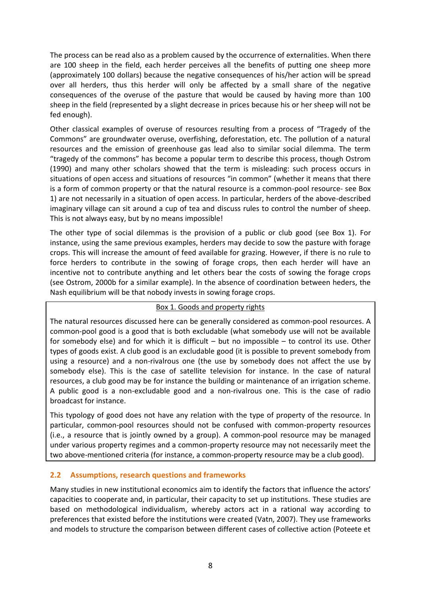The process can be read also as a problem caused by the occurrence of externalities. When there are 100 sheep in the field, each herder perceives all the benefits of putting one sheep more (approximately 100 dollars) because the negative consequences of his/her action will be spread over all herders, thus this herder will only be affected by a small share of the negative consequences of the overuse of the pasture that would be caused by having more than 100 sheep in the field (represented by a slight decrease in prices because his or her sheep will not be fed enough).

Other classical examples of overuse of resources resulting from a process of "Tragedy of the Commons" are groundwater overuse, overfishing, deforestation, etc. The pollution of a natural resources and the emission of greenhouse gas lead also to similar social dilemma. The term "tragedy of the commons" has become a popular term to describe this process, though Ostrom (1990) and many other scholars showed that the term is misleading: such process occurs in situations of open access and situations of resources "in common" (whether it means that there is a form of common property or that the natural resource is a common-pool resource- see Box 1) are not necessarily in a situation of open access. In particular, herders of the above-described imaginary village can sit around a cup of tea and discuss rules to control the number of sheep. This is not always easy, but by no means impossible!

The other type of social dilemmas is the provision of a public or club good (see Box 1). For instance, using the same previous examples, herders may decide to sow the pasture with forage crops. This will increase the amount of feed available for grazing. However, if there is no rule to force herders to contribute in the sowing of forage crops, then each herder will have an incentive not to contribute anything and let others bear the costs of sowing the forage crops (see Ostrom, 2000b for a similar example). In the absence of coordination between heders, the Nash equilibrium will be that nobody invests in sowing forage crops.

#### Box 1. Goods and property rights

The natural resources discussed here can be generally considered as common-pool resources. A common-pool good is a good that is both excludable (what somebody use will not be available for somebody else) and for which it is difficult – but no impossible – to control its use. Other types of goods exist. A club good is an excludable good (it is possible to prevent somebody from using a resource) and a non-rivalrous one (the use by somebody does not affect the use by somebody else). This is the case of satellite television for instance. In the case of natural resources, a club good may be for instance the building or maintenance of an irrigation scheme. A public good is a non-excludable good and a non-rivalrous one. This is the case of radio broadcast for instance.

This typology of good does not have any relation with the type of property of the resource. In particular, common-pool resources should not be confused with common-property resources (i.e., a resource that is jointly owned by a group). A common-pool resource may be managed under various property regimes and a common-property resource may not necessarily meet the two above-mentioned criteria (for instance, a common-property resource may be a club good).

#### <span id="page-7-0"></span>**2.2 Assumptions, research questions and frameworks**

Many studies in new institutional economics aim to identify the factors that influence the actors' capacities to cooperate and, in particular, their capacity to set up institutions. These studies are based on methodological individualism, whereby actors act in a rational way according to preferences that existed before the institutions were created (Vatn, 2007). They use frameworks and models to structure the comparison between different cases of collective action (Poteete et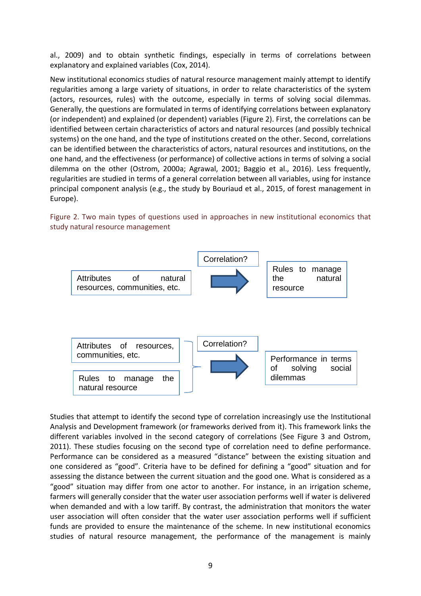al., 2009) and to obtain synthetic findings, especially in terms of correlations between explanatory and explained variables (Cox, 2014).

New institutional economics studies of natural resource management mainly attempt to identify regularities among a large variety of situations, in order to relate characteristics of the system (actors, resources, rules) with the outcome, especially in terms of solving social dilemmas. Generally, the questions are formulated in terms of identifying correlations between explanatory (or independent) and explained (or dependent) variables (Figure 2). First, the correlations can be identified between certain characteristics of actors and natural resources (and possibly technical systems) on the one hand, and the type of institutions created on the other. Second, correlations can be identified between the characteristics of actors, natural resources and institutions, on the one hand, and the effectiveness (or performance) of collective actions in terms of solving a social dilemma on the other (Ostrom, 2000a; Agrawal, 2001; Baggio et al., 2016). Less frequently, regularities are studied in terms of a general correlation between all variables, using for instance principal component analysis (e.g., the study by Bouriaud et al., 2015, of forest management in Europe).

Figure 2. Two main types of questions used in approaches in new institutional economics that study natural resource management



Studies that attempt to identify the second type of correlation increasingly use the Institutional Analysis and Development framework (or frameworks derived from it). This framework links the different variables involved in the second category of correlations (See Figure 3 and Ostrom, 2011). These studies focusing on the second type of correlation need to define performance. Performance can be considered as a measured "distance" between the existing situation and one considered as "good". Criteria have to be defined for defining a "good" situation and for assessing the distance between the current situation and the good one. What is considered as a "good" situation may differ from one actor to another. For instance, in an irrigation scheme, farmers will generally consider that the water user association performs well if water is delivered when demanded and with a low tariff. By contrast, the administration that monitors the water user association will often consider that the water user association performs well if sufficient funds are provided to ensure the maintenance of the scheme. In new institutional economics studies of natural resource management, the performance of the management is mainly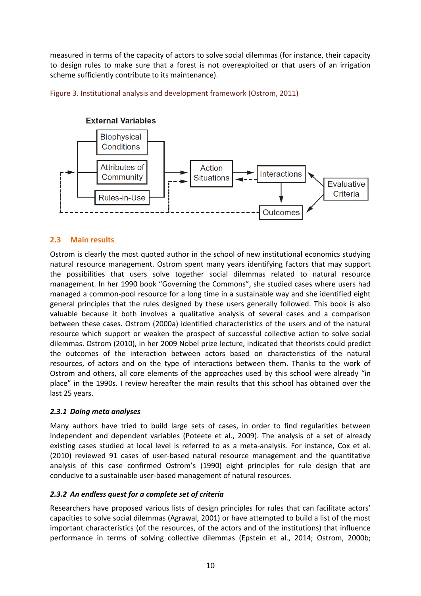measured in terms of the capacity of actors to solve social dilemmas (for instance, their capacity to design rules to make sure that a forest is not overexploited or that users of an irrigation scheme sufficiently contribute to its maintenance).

Figure 3. Institutional analysis and development framework (Ostrom, 2011)



#### **External Variables**

#### <span id="page-9-0"></span>**2.3 Main results**

Ostrom is clearly the most quoted author in the school of new institutional economics studying natural resource management. Ostrom spent many years identifying factors that may support the possibilities that users solve together social dilemmas related to natural resource management. In her 1990 book "Governing the Commons", she studied cases where users had managed a common-pool resource for a long time in a sustainable way and she identified eight general principles that the rules designed by these users generally followed. This book is also valuable because it both involves a qualitative analysis of several cases and a comparison between these cases. Ostrom (2000a) identified characteristics of the users and of the natural resource which support or weaken the prospect of successful collective action to solve social dilemmas. Ostrom (2010), in her 2009 Nobel prize lecture, indicated that theorists could predict the outcomes of the interaction between actors based on characteristics of the natural resources, of actors and on the type of interactions between them. Thanks to the work of Ostrom and others, all core elements of the approaches used by this school were already "in place" in the 1990s. I review hereafter the main results that this school has obtained over the last 25 years.

#### <span id="page-9-1"></span>*2.3.1 Doing meta analyses*

Many authors have tried to build large sets of cases, in order to find regularities between independent and dependent variables (Poteete et al., 2009). The analysis of a set of already existing cases studied at local level is referred to as a meta-analysis. For instance, Cox et al. (2010) reviewed 91 cases of user-based natural resource management and the quantitative analysis of this case confirmed Ostrom's (1990) eight principles for rule design that are conducive to a sustainable user-based management of natural resources.

#### <span id="page-9-2"></span>*2.3.2 An endless quest for a complete set of criteria*

Researchers have proposed various lists of design principles for rules that can facilitate actors' capacities to solve social dilemmas (Agrawal, 2001) or have attempted to build a list of the most important characteristics (of the resources, of the actors and of the institutions) that influence performance in terms of solving collective dilemmas (Epstein et al., 2014; Ostrom, 2000b;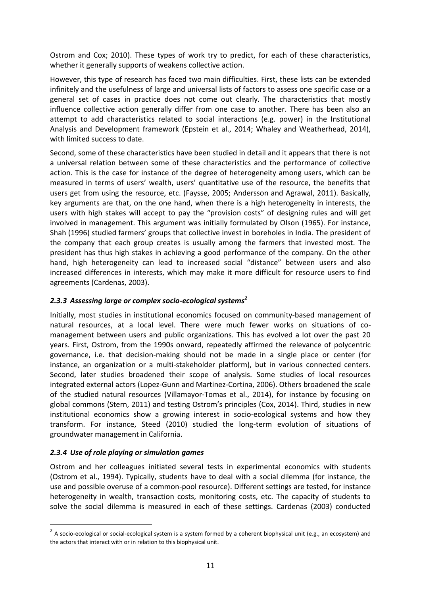Ostrom and Cox; 2010). These types of work try to predict, for each of these characteristics, whether it generally supports of weakens collective action.

However, this type of research has faced two main difficulties. First, these lists can be extended infinitely and the usefulness of large and universal lists of factors to assess one specific case or a general set of cases in practice does not come out clearly. The characteristics that mostly influence collective action generally differ from one case to another. There has been also an attempt to add characteristics related to social interactions (e.g. power) in the Institutional Analysis and Development framework (Epstein et al., 2014; Whaley and Weatherhead, 2014), with limited success to date.

Second, some of these characteristics have been studied in detail and it appears that there is not a universal relation between some of these characteristics and the performance of collective action. This is the case for instance of the degree of heterogeneity among users, which can be measured in terms of users' wealth, users' quantitative use of the resource, the benefits that users get from using the resource, etc. (Faysse, 2005; Andersson and Agrawal, 2011). Basically, key arguments are that, on the one hand, when there is a high heterogeneity in interests, the users with high stakes will accept to pay the "provision costs" of designing rules and will get involved in management. This argument was initially formulated by Olson (1965). For instance, Shah (1996) studied farmers' groups that collective invest in boreholes in India. The president of the company that each group creates is usually among the farmers that invested most. The president has thus high stakes in achieving a good performance of the company. On the other hand, high heterogeneity can lead to increased social "distance" between users and also increased differences in interests, which may make it more difficult for resource users to find agreements (Cardenas, 2003).

#### <span id="page-10-0"></span>*2.3.3 Assessing large or complex socio-ecological systems<sup>2</sup>*

Initially, most studies in institutional economics focused on community-based management of natural resources, at a local level. There were much fewer works on situations of comanagement between users and public organizations. This has evolved a lot over the past 20 years. First, Ostrom, from the 1990s onward, repeatedly affirmed the relevance of polycentric governance, i.e. that decision-making should not be made in a single place or center (for instance, an organization or a multi-stakeholder platform), but in various connected centers. Second, later studies broadened their scope of analysis. Some studies of local resources integrated external actors (Lopez-Gunn and Martinez-Cortina, 2006). Others broadened the scale of the studied natural resources (Villamayor-Tomas et al., 2014), for instance by focusing on global commons (Stern, 2011) and testing Ostrom's principles (Cox, 2014). Third, studies in new institutional economics show a growing interest in socio-ecological systems and how they transform. For instance, Steed (2010) studied the long-term evolution of situations of groundwater management in California.

#### <span id="page-10-1"></span>*2.3.4 Use of role playing or simulation games*

<u>.</u>

Ostrom and her colleagues initiated several tests in experimental economics with students (Ostrom et al., 1994). Typically, students have to deal with a social dilemma (for instance, the use and possible overuse of a common-pool resource). Different settings are tested, for instance heterogeneity in wealth, transaction costs, monitoring costs, etc. The capacity of students to solve the social dilemma is measured in each of these settings. Cardenas (2003) conducted

 $2$  A socio-ecological or social-ecological system is a system formed by a coherent biophysical unit (e.g., an ecosystem) and the actors that interact with or in relation to this biophysical unit.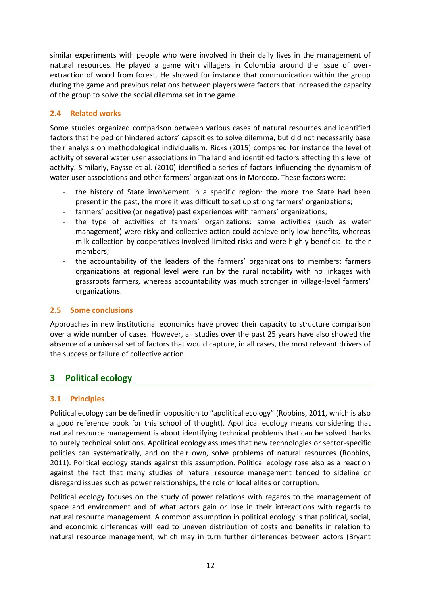similar experiments with people who were involved in their daily lives in the management of natural resources. He played a game with villagers in Colombia around the issue of overextraction of wood from forest. He showed for instance that communication within the group during the game and previous relations between players were factors that increased the capacity of the group to solve the social dilemma set in the game.

### <span id="page-11-0"></span>**2.4 Related works**

Some studies organized comparison between various cases of natural resources and identified factors that helped or hindered actors' capacities to solve dilemma, but did not necessarily base their analysis on methodological individualism. Ricks (2015) compared for instance the level of activity of several water user associations in Thailand and identified factors affecting this level of activity. Similarly, Faysse et al. (2010) identified a series of factors influencing the dynamism of water user associations and other farmers' organizations in Morocco. These factors were:

- the history of State involvement in a specific region: the more the State had been present in the past, the more it was difficult to set up strong farmers' organizations;
- farmers' positive (or negative) past experiences with farmers' organizations;
- the type of activities of farmers' organizations: some activities (such as water management) were risky and collective action could achieve only low benefits, whereas milk collection by cooperatives involved limited risks and were highly beneficial to their members;
- the accountability of the leaders of the farmers' organizations to members: farmers organizations at regional level were run by the rural notability with no linkages with grassroots farmers, whereas accountability was much stronger in village-level farmers' organizations.

#### <span id="page-11-1"></span>**2.5 Some conclusions**

Approaches in new institutional economics have proved their capacity to structure comparison over a wide number of cases. However, all studies over the past 25 years have also showed the absence of a universal set of factors that would capture, in all cases, the most relevant drivers of the success or failure of collective action.

# <span id="page-11-2"></span>**3 Political ecology**

# <span id="page-11-3"></span>**3.1 Principles**

Political ecology can be defined in opposition to "apolitical ecology" (Robbins, 2011, which is also a good reference book for this school of thought). Apolitical ecology means considering that natural resource management is about identifying technical problems that can be solved thanks to purely technical solutions. Apolitical ecology assumes that new technologies or sector-specific policies can systematically, and on their own, solve problems of natural resources (Robbins, 2011). Political ecology stands against this assumption. Political ecology rose also as a reaction against the fact that many studies of natural resource management tended to sideline or disregard issues such as power relationships, the role of local elites or corruption.

Political ecology focuses on the study of power relations with regards to the management of space and environment and of what actors gain or lose in their interactions with regards to natural resource management. A common assumption in political ecology is that political, social, and economic differences will lead to uneven distribution of costs and benefits in relation to natural resource management, which may in turn further differences between actors (Bryant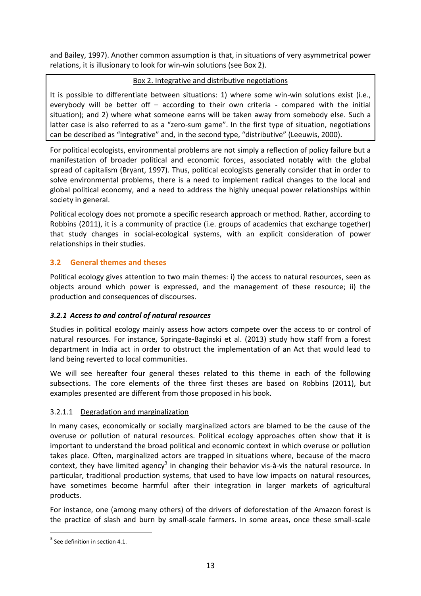and Bailey, 1997). Another common assumption is that, in situations of very asymmetrical power relations, it is illusionary to look for win-win solutions (see Box 2).

#### Box 2. Integrative and distributive negotiations

It is possible to differentiate between situations: 1) where some win-win solutions exist (i.e., everybody will be better off – according to their own criteria - compared with the initial situation); and 2) where what someone earns will be taken away from somebody else. Such a latter case is also referred to as a "zero-sum game". In the first type of situation, negotiations can be described as "integrative" and, in the second type, "distributive" (Leeuwis, 2000).

For political ecologists, environmental problems are not simply a reflection of policy failure but a manifestation of broader political and economic forces, associated notably with the global spread of capitalism (Bryant, 1997). Thus, political ecologists generally consider that in order to solve environmental problems, there is a need to implement radical changes to the local and global political economy, and a need to address the highly unequal power relationships within society in general.

Political ecology does not promote a specific research approach or method. Rather, according to Robbins (2011), it is a community of practice (i.e. groups of academics that exchange together) that study changes in social-ecological systems, with an explicit consideration of power relationships in their studies.

### <span id="page-12-0"></span>**3.2 General themes and theses**

Political ecology gives attention to two main themes: i) the access to natural resources, seen as objects around which power is expressed, and the management of these resource; ii) the production and consequences of discourses.

#### <span id="page-12-1"></span>*3.2.1 Access to and control of natural resources*

Studies in political ecology mainly assess how actors compete over the access to or control of natural resources. For instance, Springate-Baginski et al. (2013) study how staff from a forest department in India act in order to obstruct the implementation of an Act that would lead to land being reverted to local communities.

We will see hereafter four general theses related to this theme in each of the following subsections. The core elements of the three first theses are based on Robbins (2011), but examples presented are different from those proposed in his book.

#### 3.2.1.1 Degradation and marginalization

In many cases, economically or socially marginalized actors are blamed to be the cause of the overuse or pollution of natural resources. Political ecology approaches often show that it is important to understand the broad political and economic context in which overuse or pollution takes place. Often, marginalized actors are trapped in situations where, because of the macro context, they have limited agency<sup>3</sup> in changing their behavior vis-à-vis the natural resource. In particular, traditional production systems, that used to have low impacts on natural resources, have sometimes become harmful after their integration in larger markets of agricultural products.

For instance, one (among many others) of the drivers of deforestation of the Amazon forest is the practice of slash and burn by small-scale farmers. In some areas, once these small-scale

<u>.</u>

 $3$  See definition in section 4.1.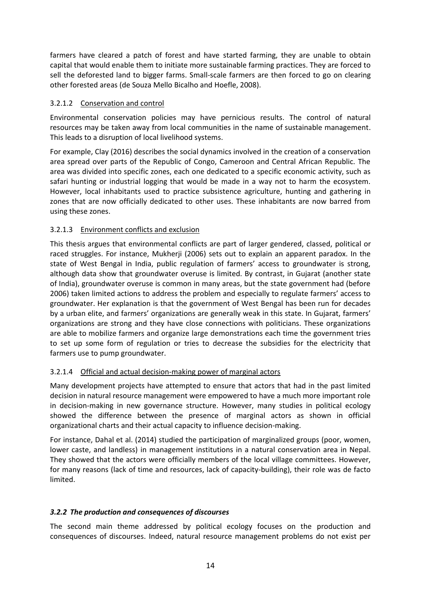farmers have cleared a patch of forest and have started farming, they are unable to obtain capital that would enable them to initiate more sustainable farming practices. They are forced to sell the deforested land to bigger farms. Small-scale farmers are then forced to go on clearing other forested areas (de Souza Mello Bicalho and Hoefle, 2008).

#### 3.2.1.2 Conservation and control

Environmental conservation policies may have pernicious results. The control of natural resources may be taken away from local communities in the name of sustainable management. This leads to a disruption of local livelihood systems.

For example, Clay (2016) describes the social dynamics involved in the creation of a conservation area spread over parts of the Republic of Congo, Cameroon and Central African Republic. The area was divided into specific zones, each one dedicated to a specific economic activity, such as safari hunting or industrial logging that would be made in a way not to harm the ecosystem. However, local inhabitants used to practice subsistence agriculture, hunting and gathering in zones that are now officially dedicated to other uses. These inhabitants are now barred from using these zones.

### 3.2.1.3 Environment conflicts and exclusion

This thesis argues that environmental conflicts are part of larger gendered, classed, political or raced struggles. For instance, Mukherji (2006) sets out to explain an apparent paradox. In the state of West Bengal in India, public regulation of farmers' access to groundwater is strong, although data show that groundwater overuse is limited. By contrast, in Gujarat (another state of India), groundwater overuse is common in many areas, but the state government had (before 2006) taken limited actions to address the problem and especially to regulate farmers' access to groundwater. Her explanation is that the government of West Bengal has been run for decades by a urban elite, and farmers' organizations are generally weak in this state. In Gujarat, farmers' organizations are strong and they have close connections with politicians. These organizations are able to mobilize farmers and organize large demonstrations each time the government tries to set up some form of regulation or tries to decrease the subsidies for the electricity that farmers use to pump groundwater.

#### 3.2.1.4 Official and actual decision-making power of marginal actors

Many development projects have attempted to ensure that actors that had in the past limited decision in natural resource management were empowered to have a much more important role in decision-making in new governance structure. However, many studies in political ecology showed the difference between the presence of marginal actors as shown in official organizational charts and their actual capacity to influence decision-making.

For instance, Dahal et al. (2014) studied the participation of marginalized groups (poor, women, lower caste, and landless) in management institutions in a natural conservation area in Nepal. They showed that the actors were officially members of the local village committees. However, for many reasons (lack of time and resources, lack of capacity-building), their role was de facto limited.

#### <span id="page-13-0"></span>*3.2.2 The production and consequences of discourses*

The second main theme addressed by political ecology focuses on the production and consequences of discourses. Indeed, natural resource management problems do not exist per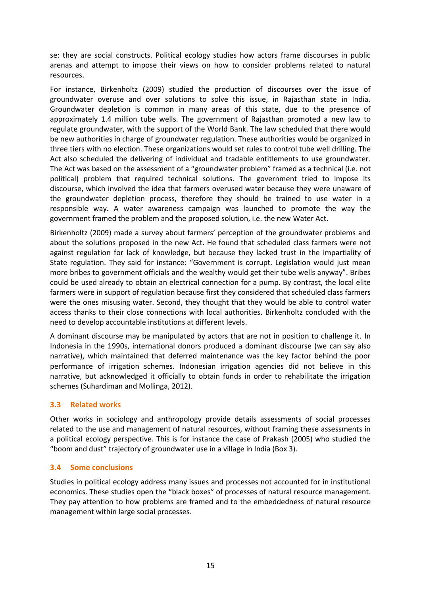se: they are social constructs. Political ecology studies how actors frame discourses in public arenas and attempt to impose their views on how to consider problems related to natural resources.

For instance, Birkenholtz (2009) studied the production of discourses over the issue of groundwater overuse and over solutions to solve this issue, in Rajasthan state in India. Groundwater depletion is common in many areas of this state, due to the presence of approximately 1.4 million tube wells. The government of Rajasthan promoted a new law to regulate groundwater, with the support of the World Bank. The law scheduled that there would be new authorities in charge of groundwater regulation. These authorities would be organized in three tiers with no election. These organizations would set rules to control tube well drilling. The Act also scheduled the delivering of individual and tradable entitlements to use groundwater. The Act was based on the assessment of a "groundwater problem" framed as a technical (i.e. not political) problem that required technical solutions. The government tried to impose its discourse, which involved the idea that farmers overused water because they were unaware of the groundwater depletion process, therefore they should be trained to use water in a responsible way. A water awareness campaign was launched to promote the way the government framed the problem and the proposed solution, i.e. the new Water Act.

Birkenholtz (2009) made a survey about farmers' perception of the groundwater problems and about the solutions proposed in the new Act. He found that scheduled class farmers were not against regulation for lack of knowledge, but because they lacked trust in the impartiality of State regulation. They said for instance: "Government is corrupt. Legislation would just mean more bribes to government officials and the wealthy would get their tube wells anyway". Bribes could be used already to obtain an electrical connection for a pump. By contrast, the local elite farmers were in support of regulation because first they considered that scheduled class farmers were the ones misusing water. Second, they thought that they would be able to control water access thanks to their close connections with local authorities. Birkenholtz concluded with the need to develop accountable institutions at different levels.

A dominant discourse may be manipulated by actors that are not in position to challenge it. In Indonesia in the 1990s, international donors produced a dominant discourse (we can say also narrative), which maintained that deferred maintenance was the key factor behind the poor performance of irrigation schemes. Indonesian irrigation agencies did not believe in this narrative, but acknowledged it officially to obtain funds in order to rehabilitate the irrigation schemes (Suhardiman and Mollinga, 2012).

#### <span id="page-14-0"></span>**3.3 Related works**

Other works in sociology and anthropology provide details assessments of social processes related to the use and management of natural resources, without framing these assessments in a political ecology perspective. This is for instance the case of Prakash (2005) who studied the "boom and dust" trajectory of groundwater use in a village in India (Box 3).

#### <span id="page-14-1"></span>**3.4 Some conclusions**

Studies in political ecology address many issues and processes not accounted for in institutional economics. These studies open the "black boxes" of processes of natural resource management. They pay attention to how problems are framed and to the embeddedness of natural resource management within large social processes.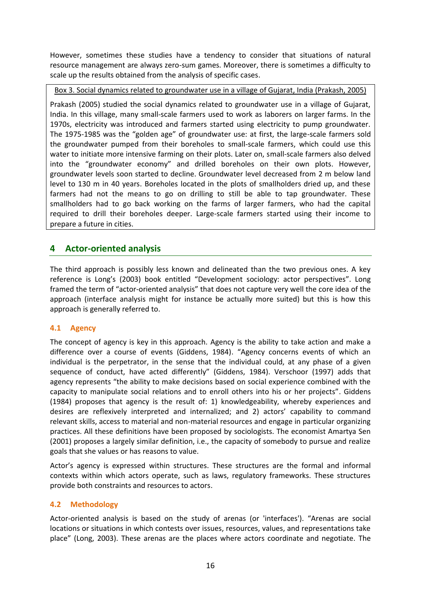However, sometimes these studies have a tendency to consider that situations of natural resource management are always zero-sum games. Moreover, there is sometimes a difficulty to scale up the results obtained from the analysis of specific cases.

Box 3. Social dynamics related to groundwater use in a village of Gujarat, India (Prakash, 2005)

Prakash (2005) studied the social dynamics related to groundwater use in a village of Gujarat, India. In this village, many small-scale farmers used to work as laborers on larger farms. In the 1970s, electricity was introduced and farmers started using electricity to pump groundwater. The 1975-1985 was the "golden age" of groundwater use: at first, the large-scale farmers sold the groundwater pumped from their boreholes to small-scale farmers, which could use this water to initiate more intensive farming on their plots. Later on, small-scale farmers also delved into the "groundwater economy" and drilled boreholes on their own plots. However, groundwater levels soon started to decline. Groundwater level decreased from 2 m below land level to 130 m in 40 years. Boreholes located in the plots of smallholders dried up, and these farmers had not the means to go on drilling to still be able to tap groundwater. These smallholders had to go back working on the farms of larger farmers, who had the capital required to drill their boreholes deeper. Large-scale farmers started using their income to prepare a future in cities.

# <span id="page-15-0"></span>**4 Actor-oriented analysis**

The third approach is possibly less known and delineated than the two previous ones. A key reference is Long's (2003) book entitled "Development sociology: actor perspectives". Long framed the term of "actor-oriented analysis" that does not capture very well the core idea of the approach (interface analysis might for instance be actually more suited) but this is how this approach is generally referred to.

#### <span id="page-15-1"></span>**4.1 Agency**

The concept of agency is key in this approach. Agency is the ability to take action and make a difference over a course of events (Giddens, 1984). "Agency concerns events of which an individual is the perpetrator, in the sense that the individual could, at any phase of a given sequence of conduct, have acted differently" (Giddens, 1984). Verschoor (1997) adds that agency represents "the ability to make decisions based on social experience combined with the capacity to manipulate social relations and to enroll others into his or her projects". Giddens (1984) proposes that agency is the result of: 1) knowledgeability, whereby experiences and desires are reflexively interpreted and internalized; and 2) actors' capability to command relevant skills, access to material and non-material resources and engage in particular organizing practices. All these definitions have been proposed by sociologists. The economist Amartya Sen (2001) proposes a largely similar definition, i.e., the capacity of somebody to pursue and realize goals that she values or has reasons to value.

Actor's agency is expressed within structures. These structures are the formal and informal contexts within which actors operate, such as laws, regulatory frameworks. These structures provide both constraints and resources to actors.

#### <span id="page-15-2"></span>**4.2 Methodology**

Actor-oriented analysis is based on the study of arenas (or 'interfaces'). "Arenas are social locations or situations in which contests over issues, resources, values, and representations take place" (Long, 2003). These arenas are the places where actors coordinate and negotiate. The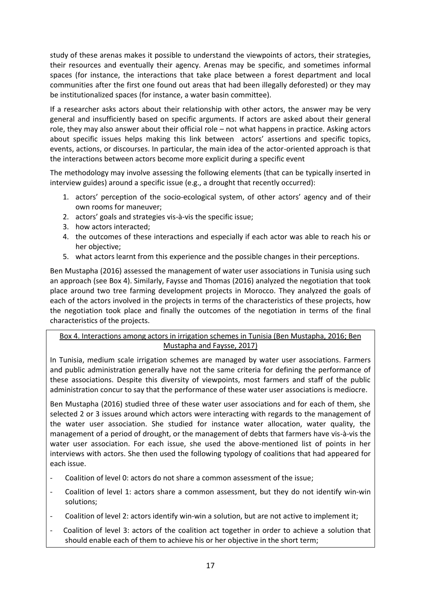study of these arenas makes it possible to understand the viewpoints of actors, their strategies, their resources and eventually their agency. Arenas may be specific, and sometimes informal spaces (for instance, the interactions that take place between a forest department and local communities after the first one found out areas that had been illegally deforested) or they may be institutionalized spaces (for instance, a water basin committee).

If a researcher asks actors about their relationship with other actors, the answer may be very general and insufficiently based on specific arguments. If actors are asked about their general role, they may also answer about their official role – not what happens in practice. Asking actors about specific issues helps making this link between actors' assertions and specific topics, events, actions, or discourses. In particular, the main idea of the actor-oriented approach is that the interactions between actors become more explicit during a specific event

The methodology may involve assessing the following elements (that can be typically inserted in interview guides) around a specific issue (e.g., a drought that recently occurred):

- 1. actors' perception of the socio-ecological system, of other actors' agency and of their own rooms for maneuver;
- 2. actors' goals and strategies vis-à-vis the specific issue;
- 3. how actors interacted;
- 4. the outcomes of these interactions and especially if each actor was able to reach his or her objective;
- 5. what actors learnt from this experience and the possible changes in their perceptions.

Ben Mustapha (2016) assessed the management of water user associations in Tunisia using such an approach (see Box 4). Similarly, Faysse and Thomas (2016) analyzed the negotiation that took place around two tree farming development projects in Morocco. They analyzed the goals of each of the actors involved in the projects in terms of the characteristics of these projects, how the negotiation took place and finally the outcomes of the negotiation in terms of the final characteristics of the projects.

### Box 4. Interactions among actors in irrigation schemes in Tunisia (Ben Mustapha, 2016; Ben Mustapha and Faysse, 2017)

In Tunisia, medium scale irrigation schemes are managed by water user associations. Farmers and public administration generally have not the same criteria for defining the performance of these associations. Despite this diversity of viewpoints, most farmers and staff of the public administration concur to say that the performance of these water user associations is mediocre.

Ben Mustapha (2016) studied three of these water user associations and for each of them, she selected 2 or 3 issues around which actors were interacting with regards to the management of the water user association. She studied for instance water allocation, water quality, the management of a period of drought, or the management of debts that farmers have vis-à-vis the water user association. For each issue, she used the above-mentioned list of points in her interviews with actors. She then used the following typology of coalitions that had appeared for each issue.

- Coalition of level 0: actors do not share a common assessment of the issue;
- Coalition of level 1: actors share a common assessment, but they do not identify win-win solutions;
- Coalition of level 2: actors identify win-win a solution, but are not active to implement it:
- Coalition of level 3: actors of the coalition act together in order to achieve a solution that should enable each of them to achieve his or her objective in the short term;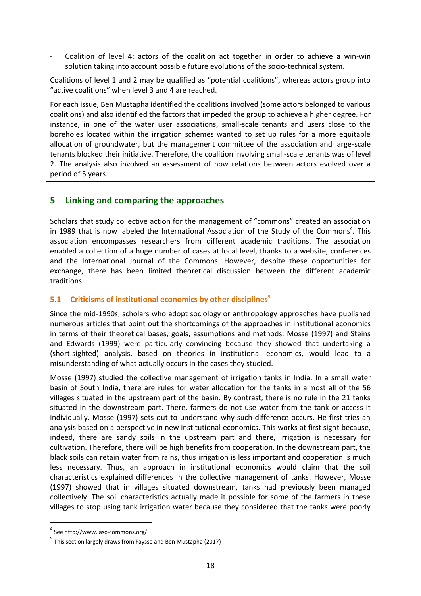Coalition of level 4: actors of the coalition act together in order to achieve a win-win solution taking into account possible future evolutions of the socio-technical system.

Coalitions of level 1 and 2 may be qualified as "potential coalitions", whereas actors group into "active coalitions" when level 3 and 4 are reached.

For each issue, Ben Mustapha identified the coalitions involved (some actors belonged to various coalitions) and also identified the factors that impeded the group to achieve a higher degree. For instance, in one of the water user associations, small-scale tenants and users close to the boreholes located within the irrigation schemes wanted to set up rules for a more equitable allocation of groundwater, but the management committee of the association and large-scale tenants blocked their initiative. Therefore, the coalition involving small-scale tenants was of level 2. The analysis also involved an assessment of how relations between actors evolved over a period of 5 years.

# <span id="page-17-0"></span>**5 Linking and comparing the approaches**

Scholars that study collective action for the management of "commons" created an association in 1989 that is now labeled the International Association of the Study of the Commons<sup>4</sup>. This association encompasses researchers from different academic traditions. The association enabled a collection of a huge number of cases at local level, thanks to a website, conferences and the International Journal of the Commons. However, despite these opportunities for exchange, there has been limited theoretical discussion between the different academic traditions.

#### <span id="page-17-1"></span>**5.1 Criticisms of institutional economics by other disciplines<sup>5</sup>**

Since the mid-1990s, scholars who adopt sociology or anthropology approaches have published numerous articles that point out the shortcomings of the approaches in institutional economics in terms of their theoretical bases, goals, assumptions and methods. Mosse (1997) and Steins and Edwards (1999) were particularly convincing because they showed that undertaking a (short-sighted) analysis, based on theories in institutional economics, would lead to a misunderstanding of what actually occurs in the cases they studied.

Mosse (1997) studied the collective management of irrigation tanks in India. In a small water basin of South India, there are rules for water allocation for the tanks in almost all of the 56 villages situated in the upstream part of the basin. By contrast, there is no rule in the 21 tanks situated in the downstream part. There, farmers do not use water from the tank or access it individually. Mosse (1997) sets out to understand why such difference occurs. He first tries an analysis based on a perspective in new institutional economics. This works at first sight because, indeed, there are sandy soils in the upstream part and there, irrigation is necessary for cultivation. Therefore, there will be high benefits from cooperation. In the downstream part, the black soils can retain water from rains, thus irrigation is less important and cooperation is much less necessary. Thus, an approach in institutional economics would claim that the soil characteristics explained differences in the collective management of tanks. However, Mosse (1997) showed that in villages situated downstream, tanks had previously been managed collectively. The soil characteristics actually made it possible for some of the farmers in these villages to stop using tank irrigation water because they considered that the tanks were poorly

1

<sup>4</sup> See http://www.iasc-commons.org/

<sup>&</sup>lt;sup>5</sup> This section largely draws from Faysse and Ben Mustapha (2017)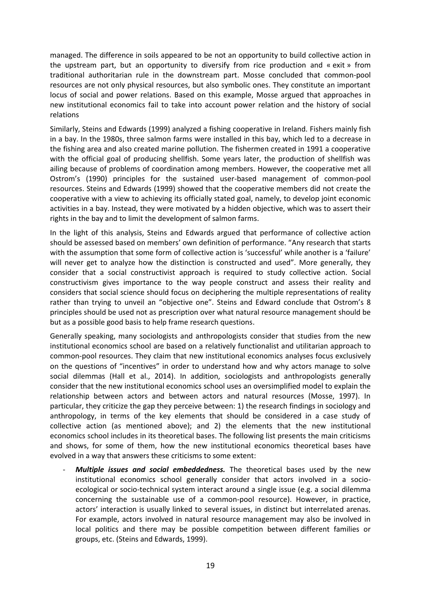managed. The difference in soils appeared to be not an opportunity to build collective action in the upstream part, but an opportunity to diversify from rice production and « exit » from traditional authoritarian rule in the downstream part. Mosse concluded that common-pool resources are not only physical resources, but also symbolic ones. They constitute an important locus of social and power relations. Based on this example, Mosse argued that approaches in new institutional economics fail to take into account power relation and the history of social relations

Similarly, Steins and Edwards (1999) analyzed a fishing cooperative in Ireland. Fishers mainly fish in a bay. In the 1980s, three salmon farms were installed in this bay, which led to a decrease in the fishing area and also created marine pollution. The fishermen created in 1991 a cooperative with the official goal of producing shellfish. Some years later, the production of shellfish was ailing because of problems of coordination among members. However, the cooperative met all Ostrom's (1990) principles for the sustained user-based management of common-pool resources. Steins and Edwards (1999) showed that the cooperative members did not create the cooperative with a view to achieving its officially stated goal, namely, to develop joint economic activities in a bay. Instead, they were motivated by a hidden objective, which was to assert their rights in the bay and to limit the development of salmon farms.

In the light of this analysis, Steins and Edwards argued that performance of collective action should be assessed based on members' own definition of performance. "Any research that starts with the assumption that some form of collective action is 'successful' while another is a 'failure' will never get to analyze how the distinction is constructed and used". More generally, they consider that a social constructivist approach is required to study collective action. Social constructivism gives importance to the way people construct and assess their reality and considers that social science should focus on deciphering the multiple representations of reality rather than trying to unveil an "objective one". Steins and Edward conclude that Ostrom's 8 principles should be used not as prescription over what natural resource management should be but as a possible good basis to help frame research questions.

Generally speaking, many sociologists and anthropologists consider that studies from the new institutional economics school are based on a relatively functionalist and utilitarian approach to common-pool resources. They claim that new institutional economics analyses focus exclusively on the questions of "incentives" in order to understand how and why actors manage to solve social dilemmas (Hall et al., 2014). In addition, sociologists and anthropologists generally consider that the new institutional economics school uses an oversimplified model to explain the relationship between actors and between actors and natural resources (Mosse, 1997). In particular, they criticize the gap they perceive between: 1) the research findings in sociology and anthropology, in terms of the key elements that should be considered in a case study of collective action (as mentioned above); and 2) the elements that the new institutional economics school includes in its theoretical bases. The following list presents the main criticisms and shows, for some of them, how the new institutional economics theoretical bases have evolved in a way that answers these criticisms to some extent:

**Multiple issues and social embeddedness.** The theoretical bases used by the new institutional economics school generally consider that actors involved in a socioecological or socio-technical system interact around a single issue (e.g. a social dilemma concerning the sustainable use of a common-pool resource). However, in practice, actors' interaction is usually linked to several issues, in distinct but interrelated arenas. For example, actors involved in natural resource management may also be involved in local politics and there may be possible competition between different families or groups, etc. (Steins and Edwards, 1999).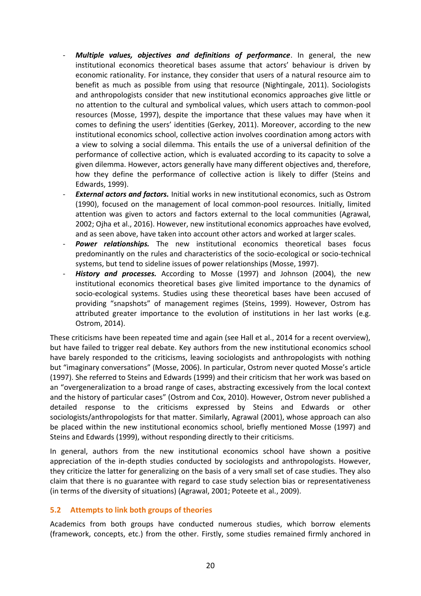- *Multiple values, objectives and definitions of performance*. In general, the new institutional economics theoretical bases assume that actors' behaviour is driven by economic rationality. For instance, they consider that users of a natural resource aim to benefit as much as possible from using that resource (Nightingale, 2011). Sociologists and anthropologists consider that new institutional economics approaches give little or no attention to the cultural and symbolical values, which users attach to common-pool resources (Mosse, 1997), despite the importance that these values may have when it comes to defining the users' identities (Gerkey, 2011). Moreover, according to the new institutional economics school, collective action involves coordination among actors with a view to solving a social dilemma. This entails the use of a universal definition of the performance of collective action, which is evaluated according to its capacity to solve a given dilemma. However, actors generally have many different objectives and, therefore, how they define the performance of collective action is likely to differ (Steins and Edwards, 1999).
- **External actors and factors.** Initial works in new institutional economics, such as Ostrom (1990), focused on the management of local common-pool resources. Initially, limited attention was given to actors and factors external to the local communities (Agrawal, 2002; Ojha et al., 2016). However, new institutional economics approaches have evolved, and as seen above, have taken into account other actors and worked at larger scales.
- Power relationships. The new institutional economics theoretical bases focus predominantly on the rules and characteristics of the socio-ecological or socio-technical systems, but tend to sideline issues of power relationships (Mosse, 1997).
- *History and processes.* According to Mosse (1997) and Johnson (2004), the new institutional economics theoretical bases give limited importance to the dynamics of socio-ecological systems. Studies using these theoretical bases have been accused of providing "snapshots" of management regimes (Steins, 1999). However, Ostrom has attributed greater importance to the evolution of institutions in her last works (e.g. Ostrom, 2014).

These criticisms have been repeated time and again (see Hall et al., 2014 for a recent overview), but have failed to trigger real debate. Key authors from the new institutional economics school have barely responded to the criticisms, leaving sociologists and anthropologists with nothing but "imaginary conversations" (Mosse, 2006). In particular, Ostrom never quoted Mosse's article (1997). She referred to Steins and Edwards (1999) and their criticism that her work was based on an "overgeneralization to a broad range of cases, abstracting excessively from the local context and the history of particular cases" (Ostrom and Cox, 2010). However, Ostrom never published a detailed response to the criticisms expressed by Steins and Edwards or other sociologists/anthropologists for that matter. Similarly, Agrawal (2001), whose approach can also be placed within the new institutional economics school, briefly mentioned Mosse (1997) and Steins and Edwards (1999), without responding directly to their criticisms.

In general, authors from the new institutional economics school have shown a positive appreciation of the in-depth studies conducted by sociologists and anthropologists. However, they criticize the latter for generalizing on the basis of a very small set of case studies. They also claim that there is no guarantee with regard to case study selection bias or representativeness (in terms of the diversity of situations) (Agrawal, 2001; Poteete et al., 2009).

#### <span id="page-19-0"></span>**5.2 Attempts to link both groups of theories**

Academics from both groups have conducted numerous studies, which borrow elements (framework, concepts, etc.) from the other. Firstly, some studies remained firmly anchored in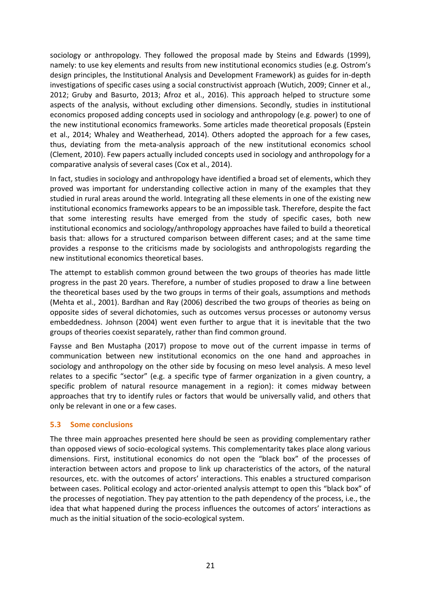sociology or anthropology. They followed the proposal made by Steins and Edwards (1999), namely: to use key elements and results from new institutional economics studies (e.g. Ostrom's design principles, the Institutional Analysis and Development Framework) as guides for in-depth investigations of specific cases using a social constructivist approach (Wutich, 2009; Cinner et al., 2012; Gruby and Basurto, 2013; Afroz et al., 2016). This approach helped to structure some aspects of the analysis, without excluding other dimensions. Secondly, studies in institutional economics proposed adding concepts used in sociology and anthropology (e.g. power) to one of the new institutional economics frameworks. Some articles made theoretical proposals (Epstein et al., 2014; Whaley and Weatherhead, 2014). Others adopted the approach for a few cases, thus, deviating from the meta-analysis approach of the new institutional economics school (Clement, 2010). Few papers actually included concepts used in sociology and anthropology for a comparative analysis of several cases (Cox et al., 2014).

In fact, studies in sociology and anthropology have identified a broad set of elements, which they proved was important for understanding collective action in many of the examples that they studied in rural areas around the world. Integrating all these elements in one of the existing new institutional economics frameworks appears to be an impossible task. Therefore, despite the fact that some interesting results have emerged from the study of specific cases, both new institutional economics and sociology/anthropology approaches have failed to build a theoretical basis that: allows for a structured comparison between different cases; and at the same time provides a response to the criticisms made by sociologists and anthropologists regarding the new institutional economics theoretical bases.

The attempt to establish common ground between the two groups of theories has made little progress in the past 20 years. Therefore, a number of studies proposed to draw a line between the theoretical bases used by the two groups in terms of their goals, assumptions and methods (Mehta et al., 2001). Bardhan and Ray (2006) described the two groups of theories as being on opposite sides of several dichotomies, such as outcomes versus processes or autonomy versus embeddedness. Johnson (2004) went even further to argue that it is inevitable that the two groups of theories coexist separately, rather than find common ground.

Faysse and Ben Mustapha (2017) propose to move out of the current impasse in terms of communication between new institutional economics on the one hand and approaches in sociology and anthropology on the other side by focusing on meso level analysis. A meso level relates to a specific "sector" (e.g. a specific type of farmer organization in a given country, a specific problem of natural resource management in a region): it comes midway between approaches that try to identify rules or factors that would be universally valid, and others that only be relevant in one or a few cases.

#### <span id="page-20-0"></span>**5.3 Some conclusions**

The three main approaches presented here should be seen as providing complementary rather than opposed views of socio-ecological systems. This complementarity takes place along various dimensions. First, institutional economics do not open the "black box" of the processes of interaction between actors and propose to link up characteristics of the actors, of the natural resources, etc. with the outcomes of actors' interactions. This enables a structured comparison between cases. Political ecology and actor-oriented analysis attempt to open this "black box" of the processes of negotiation. They pay attention to the path dependency of the process, i.e., the idea that what happened during the process influences the outcomes of actors' interactions as much as the initial situation of the socio-ecological system.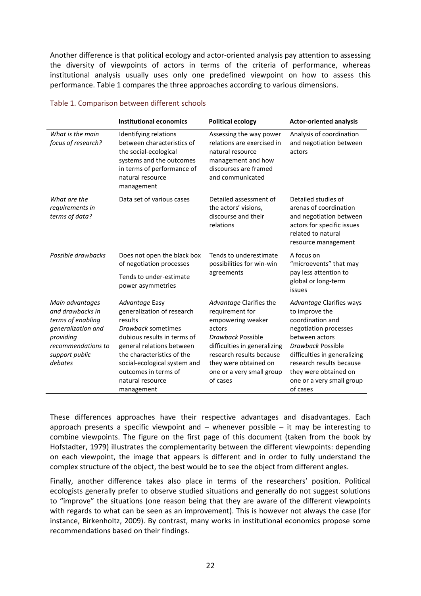Another difference is that political ecology and actor-oriented analysis pay attention to assessing the diversity of viewpoints of actors in terms of the criteria of performance, whereas institutional analysis usually uses only one predefined viewpoint on how to assess this performance. Table 1 compares the three approaches according to various dimensions.

|                                                                                                                                                | <b>Institutional economics</b>                                                                                                                                                                                                                                    | <b>Political ecology</b>                                                                                                                                                                                                     | <b>Actor-oriented analysis</b>                                                                                                                                                                                                                               |
|------------------------------------------------------------------------------------------------------------------------------------------------|-------------------------------------------------------------------------------------------------------------------------------------------------------------------------------------------------------------------------------------------------------------------|------------------------------------------------------------------------------------------------------------------------------------------------------------------------------------------------------------------------------|--------------------------------------------------------------------------------------------------------------------------------------------------------------------------------------------------------------------------------------------------------------|
| What is the main<br>focus of research?                                                                                                         | Identifying relations<br>between characteristics of<br>the social-ecological<br>systems and the outcomes<br>in terms of performance of<br>natural resource<br>management                                                                                          | Assessing the way power<br>relations are exercised in<br>natural resource<br>management and how<br>discourses are framed<br>and communicated                                                                                 | Analysis of coordination<br>and negotiation between<br>actors                                                                                                                                                                                                |
| What are the<br>requirements in<br>terms of data?                                                                                              | Data set of various cases                                                                                                                                                                                                                                         | Detailed assessment of<br>the actors' visions,<br>discourse and their<br>relations                                                                                                                                           | Detailed studies of<br>arenas of coordination<br>and negotiation between<br>actors for specific issues<br>related to natural<br>resource management                                                                                                          |
| Possible drawbacks                                                                                                                             | Does not open the black box<br>of negotiation processes<br>Tends to under-estimate<br>power asymmetries                                                                                                                                                           | Tends to underestimate<br>possibilities for win-win<br>agreements                                                                                                                                                            | A focus on<br>"microevents" that may<br>pay less attention to<br>global or long-term<br>issues                                                                                                                                                               |
| Main advantages<br>and drawbacks in<br>terms of enabling<br>generalization and<br>providing<br>recommendations to<br>support public<br>debates | Advantage Easy<br>generalization of research<br>results<br>Drawback sometimes<br>dubious results in terms of<br>general relations between<br>the characteristics of the<br>social-ecological system and<br>outcomes in terms of<br>natural resource<br>management | Advantage Clarifies the<br>requirement for<br>empowering weaker<br>actors<br>Drawback Possible<br>difficulties in generalizing<br>research results because<br>they were obtained on<br>one or a very small group<br>of cases | Advantage Clarifies ways<br>to improve the<br>coordination and<br>negotiation processes<br>between actors<br>Drawback Possible<br>difficulties in generalizing<br>research results because<br>they were obtained on<br>one or a very small group<br>of cases |

#### Table 1. Comparison between different schools

These differences approaches have their respective advantages and disadvantages. Each approach presents a specific viewpoint and  $-$  whenever possible  $-$  it may be interesting to combine viewpoints. The figure on the first page of this document (taken from the book by Hofstadter, 1979) illustrates the complementarity between the different viewpoints: depending on each viewpoint, the image that appears is different and in order to fully understand the complex structure of the object, the best would be to see the object from different angles.

Finally, another difference takes also place in terms of the researchers' position. Political ecologists generally prefer to observe studied situations and generally do not suggest solutions to "improve" the situations (one reason being that they are aware of the different viewpoints with regards to what can be seen as an improvement). This is however not always the case (for instance, Birkenholtz, 2009). By contrast, many works in institutional economics propose some recommendations based on their findings.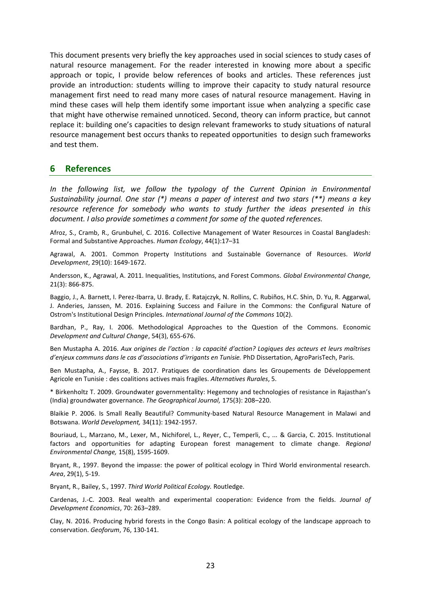This document presents very briefly the key approaches used in social sciences to study cases of natural resource management. For the reader interested in knowing more about a specific approach or topic, I provide below references of books and articles. These references just provide an introduction: students willing to improve their capacity to study natural resource management first need to read many more cases of natural resource management. Having in mind these cases will help them identify some important issue when analyzing a specific case that might have otherwise remained unnoticed. Second, theory can inform practice, but cannot replace it: building one's capacities to design relevant frameworks to study situations of natural resource management best occurs thanks to repeated opportunities to design such frameworks and test them.

#### <span id="page-22-0"></span>**6 References**

*In the following list, we follow the typology of the Current Opinion in Environmental Sustainability journal. One star (\*) means a paper of interest and two stars (\*\*) means a key resource reference for somebody who wants to study further the ideas presented in this document. I also provide sometimes a comment for some of the quoted references.*

Afroz, S., Cramb, R., Grunbuhel, C. 2016. Collective Management of Water Resources in Coastal Bangladesh: Formal and Substantive Approaches. *Human Ecology*, 44(1):17–31

Agrawal, A. 2001. Common Property Institutions and Sustainable Governance of Resources. *World Development*, 29(10): 1649-1672.

Andersson, K., Agrawal, A. 2011. Inequalities, Institutions, and Forest Commons. *Global Environmental Change,* 21(3): 866-875.

Baggio, J., A. Barnett, I. Perez-Ibarra, U. Brady, E. Ratajczyk, N. Rollins, C. Rubiños, H.C. Shin, D. Yu, R. Aggarwal, J. Anderies, Janssen, M. 2016. Explaining Success and Failure in the Commons: the Configural Nature of Ostrom's Institutional Design Principles. *International Journal of the Commons* 10(2).

Bardhan, P., Ray, I. 2006. Methodological Approaches to the Question of the Commons. Economic *Development and Cultural Change*, 54(3), 655-676.

Ben Mustapha A. 2016. *Aux origines de l'action : la capacité d'action? Logiques des acteurs et leurs maîtrises d'enjeux communs dans le cas d'associations d'irrigants en Tunisie.* PhD Dissertation, AgroParisTech, Paris.

Ben Mustapha, A., Faysse, B. 2017. Pratiques de coordination dans les Groupements de Développement Agricole en Tunisie : des coalitions actives mais fragiles. *Alternatives Rurales*, 5.

\* Birkenholtz T. 2009. Groundwater governmentality: Hegemony and technologies of resistance in Rajasthan's (India) groundwater governance. *The Geographical Journal,* 175(3): 208–220.

Blaikie P. 2006. Is Small Really Beautiful? Community-based Natural Resource Management in Malawi and Botswana. *World Development,* 34(11): 1942-1957.

Bouriaud, L., Marzano, M., Lexer, M., Nichiforel, L., Reyer, C., Temperli, C., ... & Garcia, C. 2015. Institutional factors and opportunities for adapting European forest management to climate change. *Regional Environmental Change,* 15(8), 1595-1609.

Bryant, R., 1997. Beyond the impasse: the power of political ecology in Third World environmental research. *Area*, 29(1), 5-19.

Bryant, R., Bailey, S., 1997. *Third World Political Ecology.* Routledge.

Cardenas, J.-C. 2003. Real wealth and experimental cooperation: Evidence from the fields. *Journal of Development Economics*, 70: 263–289.

Clay, N. 2016. Producing hybrid forests in the Congo Basin: A political ecology of the landscape approach to conservation. *Geoforum*, 76, 130-141.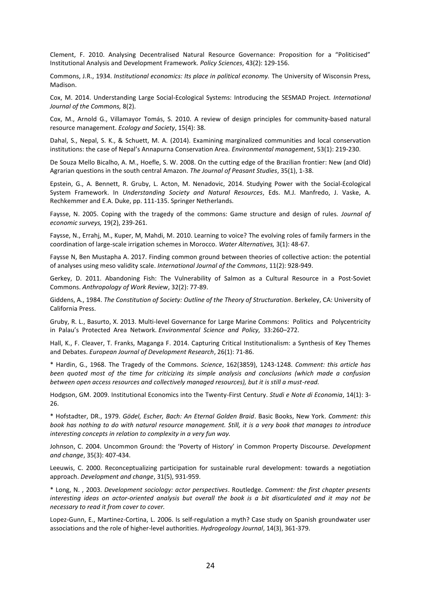Clement, F. 2010. Analysing Decentralised Natural Resource Governance: Proposition for a "Politicised" Institutional Analysis and Development Framework. *Policy Sciences*, 43(2): 129-156.

Commons, J.R., 1934. *Institutional economics: Its place in political economy.* The University of Wisconsin Press, Madison.

Cox, M. 2014. Understanding Large Social-Ecological Systems: Introducing the SESMAD Project. *International Journal of the Commons,* 8(2).

Cox, M., Arnold G., Villamayor Tomás, S. 2010. A review of design principles for community-based natural resource management. *Ecology and Society*, 15(4): 38.

Dahal, S., Nepal, S. K., & Schuett, M. A. (2014). Examining marginalized communities and local conservation institutions: the case of Nepal's Annapurna Conservation Area. *Environmental management*, 53(1): 219-230.

De Souza Mello Bicalho, A. M., Hoefle, S. W. 2008. On the cutting edge of the Brazilian frontier: New (and Old) Agrarian questions in the south central Amazon. *The Journal of Peasant Studies*, 35(1), 1-38.

Epstein, G., A. Bennett, R. Gruby, L. Acton, M. Nenadovic, 2014. Studying Power with the Social-Ecological System Framework. In *Understanding Society and Natural Resources*, Eds. M.J. Manfredo, J. Vaske, A. Rechkemmer and E.A. Duke, pp. 111-135. Springer Netherlands.

Faysse, N. 2005. Coping with the tragedy of the commons: Game structure and design of rules. *Journal of economic surveys,* 19(2), 239-261.

Faysse, N., Errahj, M., Kuper, M, Mahdi, M. 2010. Learning to voice? The evolving roles of family farmers in the coordination of large-scale irrigation schemes in Morocco. *Water Alternatives,* 3(1): 48-67.

Faysse N, Ben Mustapha A. 2017. Finding common ground between theories of collective action: the potential of analyses using meso validity scale. *International Journal of the Commons*, 11(2): 928-949.

Gerkey, D. 2011. Abandoning Fish: The Vulnerability of Salmon as a Cultural Resource in a Post‐Soviet Commons. *Anthropology of Work Review*, 32(2): 77-89.

Giddens, A., 1984. *The Constitution of Society: Outline of the Theory of Structuration*. Berkeley, CA: University of California Press.

Gruby, R. L., Basurto, X. 2013. Multi-level Governance for Large Marine Commons: Politics and Polycentricity in Palau's Protected Area Network. *Environmental Science and Policy,* 33:260–272.

Hall, K., F. Cleaver, T. Franks, Maganga F. 2014. Capturing Critical Institutionalism: a Synthesis of Key Themes and Debates. *European Journal of Development Research*, 26(1): 71-86.

\* Hardin, G., 1968. The Tragedy of the Commons. *Science*, 162(3859), 1243-1248. *Comment: this article has been quoted most of the time for criticizing its simple analysis and conclusions (which made a confusion between open access resources and collectively managed resources), but it is still a must-read.*

Hodgson, GM. 2009. Institutional Economics into the Twenty-First Century. *Studi e Note di Economia*, 14(1): 3- 26.

\* Hofstadter, DR., 1979. *Gödel, Escher, Bach: An Eternal Golden Braid*. Basic Books, New York. *Comment: this book has nothing to do with natural resource management. Still, it is a very book that manages to introduce interesting concepts in relation to complexity in a very fun way.*

Johnson, C. 2004. Uncommon Ground: the 'Poverty of History' in Common Property Discourse. *Development and change*, 35(3): 407-434.

Leeuwis, C. 2000. Reconceptualizing participation for sustainable rural development: towards a negotiation approach. *Development and change*, 31(5), 931-959.

\* Long, N. , 2003. *Development sociology: actor perspectives*. Routledge. *Comment: the first chapter presents interesting ideas on actor-oriented analysis but overall the book is a bit disarticulated and it may not be necessary to read it from cover to cover.*

Lopez-Gunn, E., Martinez-Cortina, L. 2006. Is self-regulation a myth? Case study on Spanish groundwater user associations and the role of higher-level authorities. *Hydrogeology Journal*, 14(3), 361-379.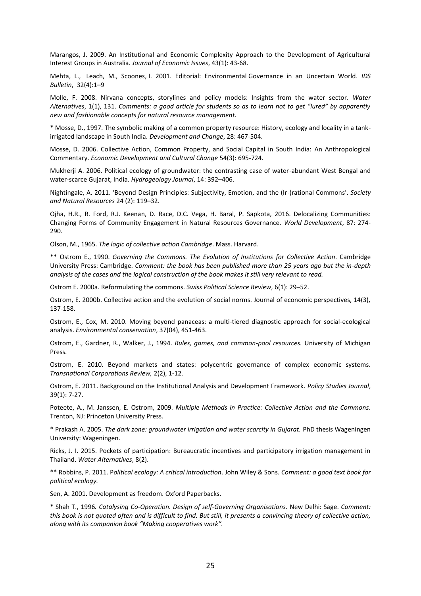Marangos, J. 2009. An Institutional and Economic Complexity Approach to the Development of Agricultural Interest Groups in Australia. *Journal of Economic Issues*, 43(1): 43-68.

Mehta, L., Leach, M., Scoones, I. 2001. Editorial: Environmental Governance in an Uncertain World*. IDS Bulletin*, 32(4):1–9

Molle, F. 2008. Nirvana concepts, storylines and policy models: Insights from the water sector. *Water Alternatives*, 1(1), 131. *Comments: a good article for students so as to learn not to get "lured" by apparently new and fashionable concepts for natural resource management.*

\* Mosse, D., 1997. The symbolic making of a common property resource: History, ecology and locality in a tankirrigated landscape in South India. *Development and Change*, 28: 467-504.

Mosse, D. 2006. Collective Action, Common Property, and Social Capital in South India: An Anthropological Commentary. *Economic Development and Cultural Change* 54(3): 695-724.

Mukherji A. 2006. Political ecology of groundwater: the contrasting case of water-abundant West Bengal and water-scarce Gujarat, India. *Hydrogeology Journal*, 14: 392–406.

Nightingale, A. 2011. 'Beyond Design Principles: Subjectivity, Emotion, and the (Ir-)rational Commons'. *Society and Natural Resources* 24 (2): 119–32.

Ojha, H.R., R. Ford, R.J. Keenan, D. Race, D.C. Vega, H. Baral, P. Sapkota, 2016. Delocalizing Communities: Changing Forms of Community Engagement in Natural Resources Governance. *World Development*, 87: 274- 290.

Olson, M., 1965. *The logic of collective action Cambridge*. Mass. Harvard.

\*\* Ostrom E., 1990. *Governing the Commons. The Evolution of Institutions for Collective Action*. Cambridge University Press: Cambridge. *Comment: the book has been published more than 25 years ago but the in-depth analysis of the cases and the logical construction of the book makes it still very relevant to read.*

Ostrom E. 2000a. Reformulating the commons. *Swiss Political Science Review*, 6(1): 29–52.

Ostrom, E. 2000b. Collective action and the evolution of social norms. Journal of economic perspectives, 14(3), 137-158.

Ostrom, E., Cox, M. 2010. Moving beyond panaceas: a multi-tiered diagnostic approach for social-ecological analysis. *Environmental conservation*, 37(04), 451-463.

Ostrom, E., Gardner, R., Walker, J., 1994. *Rules, games, and common-pool resources.* University of Michigan Press.

Ostrom, E. 2010. Beyond markets and states: polycentric governance of complex economic systems. *Transnational Corporations Review,* 2(2), 1-12.

Ostrom, E. 2011. Background on the Institutional Analysis and Development Framework. *Policy Studies Journal*, 39(1): 7-27.

Poteete, A., M. Janssen, E. Ostrom, 2009. *Multiple Methods in Practice: Collective Action and the Commons.*  Trenton, NJ: Princeton University Press.

\* Prakash A. 2005. *The dark zone: groundwater irrigation and water scarcity in Gujarat.* PhD thesis Wageningen University: Wageningen.

Ricks, J. I. 2015. Pockets of participation: Bureaucratic incentives and participatory irrigation management in Thailand. *Water Alternatives*, 8(2).

\*\* Robbins, P. 2011. P*olitical ecology: A critical introduction*. John Wiley & Sons. *Comment: a good text book for political ecology.*

Sen, A. 2001. Development as freedom. Oxford Paperbacks.

\* Shah T., 1996*. Catalysing Co-Operation. Design of self-Governing Organisations.* New Delhi: Sage. *Comment: this book is not quoted often and is difficult to find. But still, it presents a convincing theory of collective action, along with its companion book "Making cooperatives work".*